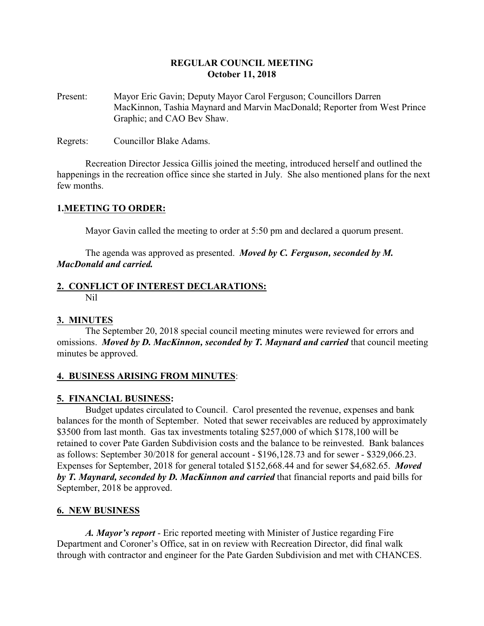## **REGULAR COUNCIL MEETING October 11, 2018**

Present: Mayor Eric Gavin; Deputy Mayor Carol Ferguson; Councillors Darren MacKinnon, Tashia Maynard and Marvin MacDonald; Reporter from West Prince Graphic; and CAO Bev Shaw.

Regrets: Councillor Blake Adams.

Recreation Director Jessica Gillis joined the meeting, introduced herself and outlined the happenings in the recreation office since she started in July. She also mentioned plans for the next few months.

#### **1.MEETING TO ORDER:**

Mayor Gavin called the meeting to order at 5:50 pm and declared a quorum present.

The agenda was approved as presented. *Moved by C. Ferguson, seconded by M. MacDonald and carried.*

## **2. CONFLICT OF INTEREST DECLARATIONS:**

Nil

#### **3. MINUTES**

The September 20, 2018 special council meeting minutes were reviewed for errors and omissions. *Moved by D. MacKinnon, seconded by T. Maynard and carried* that council meeting minutes be approved.

## **4. BUSINESS ARISING FROM MINUTES**:

#### **5. FINANCIAL BUSINESS:**

Budget updates circulated to Council. Carol presented the revenue, expenses and bank balances for the month of September. Noted that sewer receivables are reduced by approximately \$3500 from last month. Gas tax investments totaling \$257,000 of which \$178,100 will be retained to cover Pate Garden Subdivision costs and the balance to be reinvested. Bank balances as follows: September 30/2018 for general account - \$196,128.73 and for sewer - \$329,066.23. Expenses for September, 2018 for general totaled \$152,668.44 and for sewer \$4,682.65. *Moved by T. Maynard, seconded by D. MacKinnon and carried* that financial reports and paid bills for September, 2018 be approved.

#### **6. NEW BUSINESS**

*A. Mayor's report* - Eric reported meeting with Minister of Justice regarding Fire Department and Coroner's Office, sat in on review with Recreation Director, did final walk through with contractor and engineer for the Pate Garden Subdivision and met with CHANCES.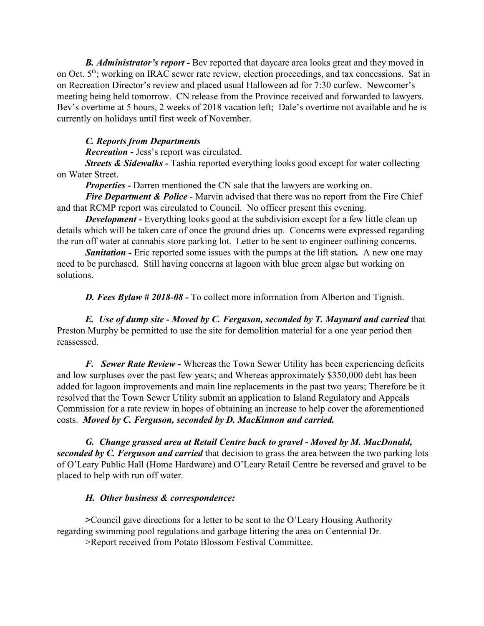*B. Administrator's report -* Bev reported that daycare area looks great and they moved in on Oct. 5<sup>th</sup>; working on IRAC sewer rate review, election proceedings, and tax concessions. Sat in on Recreation Director's review and placed usual Halloween ad for 7:30 curfew. Newcomer's meeting being held tomorrow. CN release from the Province received and forwarded to lawyers. Bev's overtime at 5 hours, 2 weeks of 2018 vacation left; Dale's overtime not available and he is currently on holidays until first week of November.

### *C. Reports from Departments*

*Recreation -* Jess's report was circulated.

*Streets & Sidewalks* - Tashia reported everything looks good except for water collecting on Water Street.

*Properties - Darren mentioned the CN sale that the lawyers are working on.* 

*Fire Department & Police* - Marvin advised that there was no report from the Fire Chief and that RCMP report was circulated to Council. No officer present this evening.

*Development* - Everything looks good at the subdivision except for a few little clean up details which will be taken care of once the ground dries up. Concerns were expressed regarding the run off water at cannabis store parking lot. Letter to be sent to engineer outlining concerns.

*Sanitation -* Eric reported some issues with the pumps at the lift station*.* A new one may need to be purchased. Still having concerns at lagoon with blue green algae but working on solutions.

*D. Fees Bylaw # 2018-08 -* To collect more information from Alberton and Tignish.

*E. Use of dump site - Moved by C. Ferguson, seconded by T. Maynard and carried* that Preston Murphy be permitted to use the site for demolition material for a one year period then reassessed.

*F. Sewer Rate Review -* Whereas the Town Sewer Utility has been experiencing deficits and low surpluses over the past few years; and Whereas approximately \$350,000 debt has been added for lagoon improvements and main line replacements in the past two years; Therefore be it resolved that the Town Sewer Utility submit an application to Island Regulatory and Appeals Commission for a rate review in hopes of obtaining an increase to help cover the aforementioned costs. *Moved by C. Ferguson, seconded by D. MacKinnon and carried.*

*G. Change grassed area at Retail Centre back to gravel - Moved by M. MacDonald, seconded by C. Ferguson and carried* that decision to grass the area between the two parking lots of O'Leary Public Hall (Home Hardware) and O'Leary Retail Centre be reversed and gravel to be placed to help with run off water.

## *H. Other business & correspondence:*

*>*Council gave directions for a letter to be sent to the O'Leary Housing Authority regarding swimming pool regulations and garbage littering the area on Centennial Dr.

>Report received from Potato Blossom Festival Committee.